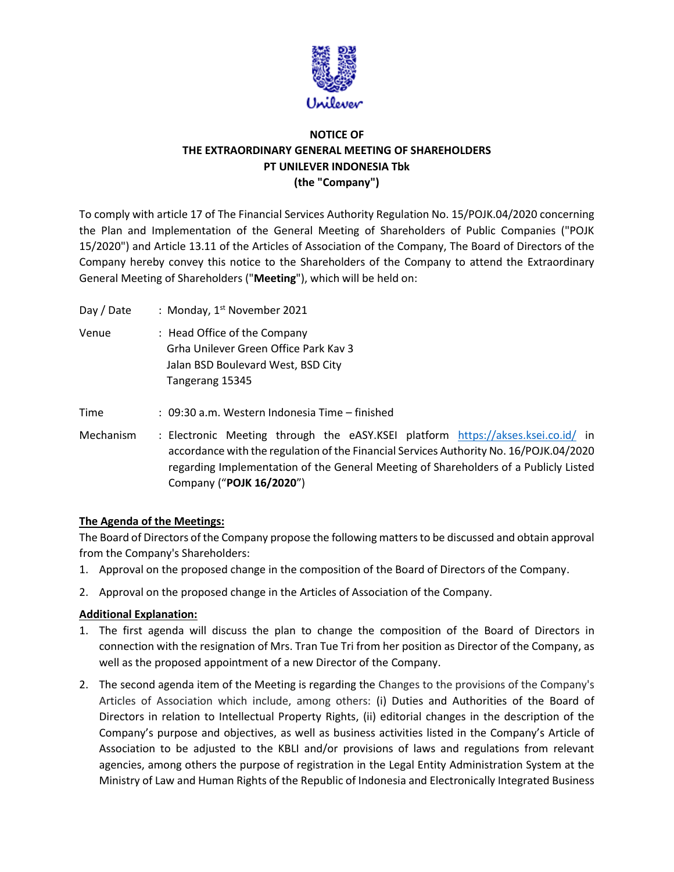

# **NOTICE OF THE EXTRAORDINARY GENERAL MEETING OF SHAREHOLDERS PT UNILEVER INDONESIA Tbk (the "Company")**

To comply with article 17 of The Financial Services Authority Regulation No. 15/POJK.04/2020 concerning the Plan and Implementation of the General Meeting of Shareholders of Public Companies ("POJK 15/2020") and Article 13.11 of the Articles of Association of the Company, The Board of Directors of the Company hereby convey this notice to the Shareholders of the Company to attend the Extraordinary General Meeting of Shareholders ("**Meeting**"), which will be held on:

Day / Date : Monday, 1<sup>st</sup> November 2021 Venue : Head Office of the Company Grha Unilever Green Office Park Kav 3 Jalan BSD Boulevard West, BSD City Tangerang 15345 Time : 09:30 a.m. Western Indonesia Time – finished Mechanism : Electronic Meeting through the eASY.KSEI platform <https://akses.ksei.co.id/> in accordance with the regulation of the Financial Services Authority No. 16/POJK.04/2020 regarding Implementation of the General Meeting of Shareholders of a Publicly Listed Company ("**POJK 16/2020**")

## **The Agenda of the Meetings:**

The Board of Directors of the Company propose the following matters to be discussed and obtain approval from the Company's Shareholders:

- 1. Approval on the proposed change in the composition of the Board of Directors of the Company.
- 2. Approval on the proposed change in the Articles of Association of the Company.

#### **Additional Explanation:**

- 1. The first agenda will discuss the plan to change the composition of the Board of Directors in connection with the resignation of Mrs. Tran Tue Tri from her position as Director of the Company, as well as the proposed appointment of a new Director of the Company.
- 2. The second agenda item of the Meeting is regarding the Changes to the provisions of the Company's Articles of Association which include, among others: (i) Duties and Authorities of the Board of Directors in relation to Intellectual Property Rights, (ii) editorial changes in the description of the Company's purpose and objectives, as well as business activities listed in the Company's Article of Association to be adjusted to the KBLI and/or provisions of laws and regulations from relevant agencies, among others the purpose of registration in the Legal Entity Administration System at the Ministry of Law and Human Rights of the Republic of Indonesia and Electronically Integrated Business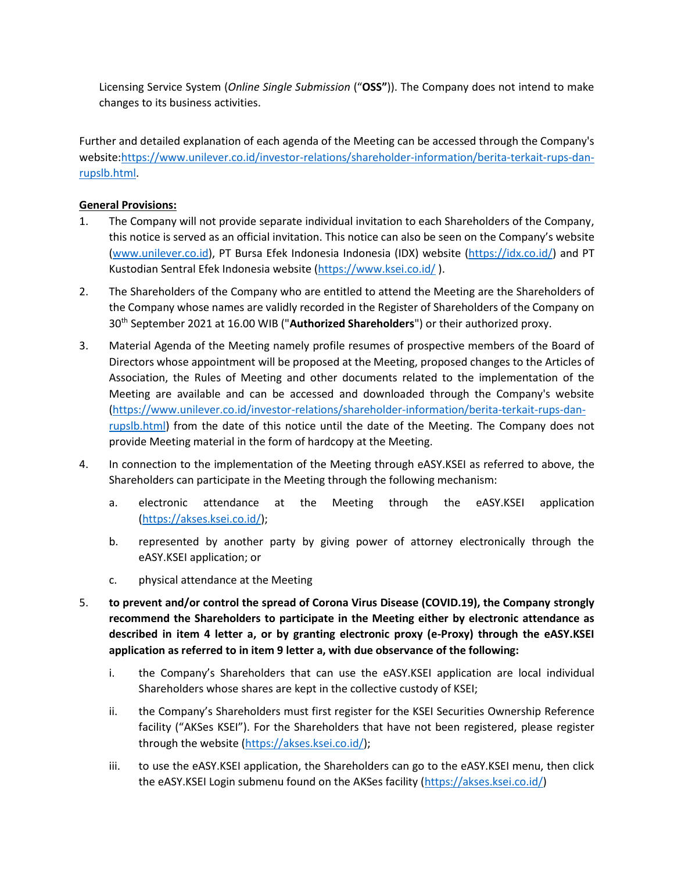Licensing Service System (*Online Single Submission* ("**OSS"**)). The Company does not intend to make changes to its business activities.

Further and detailed explanation of each agenda of the Meeting can be accessed through the Company's website[:https://www.unilever.co.id/investor-relations/shareholder-information/berita-terkait-rups-dan](https://www.unilever.co.id/investor-relations/shareholder-information/berita-terkait-rups-dan-rupslb.html)[rupslb.html.](https://www.unilever.co.id/investor-relations/shareholder-information/berita-terkait-rups-dan-rupslb.html)

## **General Provisions:**

- 1. The Company will not provide separate individual invitation to each Shareholders of the Company, this notice is served as an official invitation. This notice can also be seen on the Company's website [\(www.unilever.co.id\)](http://www.unilever.co.id/), PT Bursa Efek Indonesia Indonesia (IDX) website [\(https://idx.co.id/\)](https://idx.co.id/) and PT Kustodian Sentral Efek Indonesia website [\(https://www.ksei.co.id/](https://www.ksei.co.id/) ).
- 2. The Shareholders of the Company who are entitled to attend the Meeting are the Shareholders of the Company whose names are validly recorded in the Register of Shareholders of the Company on 30th September 2021 at 16.00 WIB ("**Authorized Shareholders**") or their authorized proxy.
- 3. Material Agenda of the Meeting namely profile resumes of prospective members of the Board of Directors whose appointment will be proposed at the Meeting, proposed changes to the Articles of Association, the Rules of Meeting and other documents related to the implementation of the Meeting are available and can be accessed and downloaded through the Company's website [\(https://www.unilever.co.id/investor-relations/shareholder-information/berita-terkait-rups-dan](https://www.unilever.co.id/investor-relations/shareholder-information/berita-terkait-rups-dan-rupslb.html)[rupslb.html\)](https://www.unilever.co.id/investor-relations/shareholder-information/berita-terkait-rups-dan-rupslb.html) from the date of this notice until the date of the Meeting. The Company does not provide Meeting material in the form of hardcopy at the Meeting.
- 4. In connection to the implementation of the Meeting through eASY.KSEI as referred to above, the Shareholders can participate in the Meeting through the following mechanism:
	- a. electronic attendance at the Meeting through the eASY.KSEI application [\(https://akses.ksei.co.id/\)](https://akses.ksei.co.id/);
	- b. represented by another party by giving power of attorney electronically through the eASY.KSEI application; or
	- c. physical attendance at the Meeting
- 5. **to prevent and/or control the spread of Corona Virus Disease (COVID.19), the Company strongly recommend the Shareholders to participate in the Meeting either by electronic attendance as described in item 4 letter a, or by granting electronic proxy (e-Proxy) through the eASY.KSEI application as referred to in item 9 letter a, with due observance of the following:**
	- i. the Company's Shareholders that can use the eASY.KSEI application are local individual Shareholders whose shares are kept in the collective custody of KSEI;
	- ii. the Company's Shareholders must first register for the KSEI Securities Ownership Reference facility ("AKSes KSEI"). For the Shareholders that have not been registered, please register through the website [\(https://akses.ksei.co.id/\)](https://akses.ksei.co.id/);
	- iii. to use the eASY.KSEI application, the Shareholders can go to the eASY.KSEI menu, then click the eASY.KSEI Login submenu found on the AKSes facility [\(https://akses.ksei.co.id/\)](https://akses.ksei.co.id/)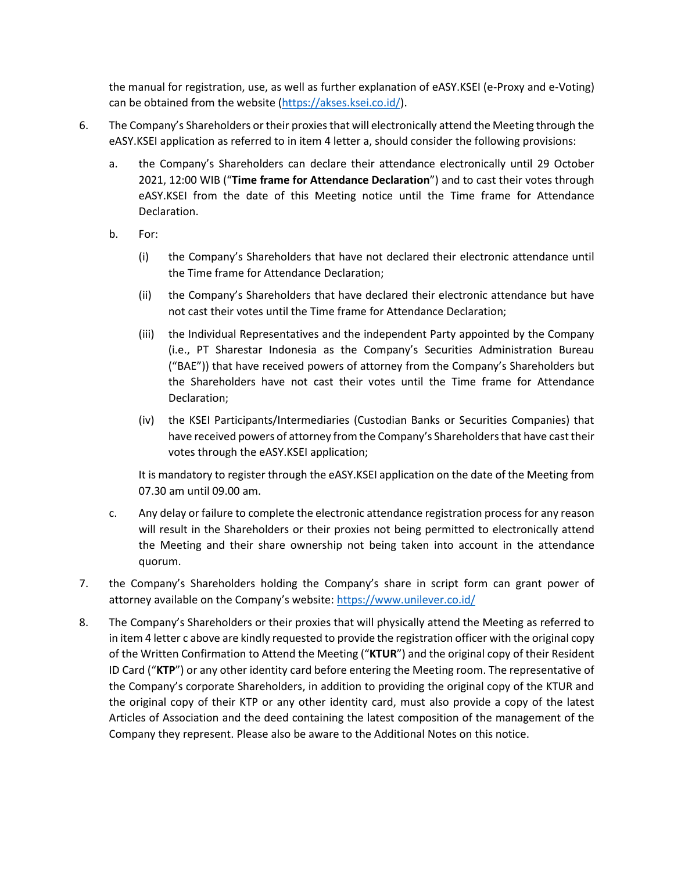the manual for registration, use, as well as further explanation of eASY.KSEI (e-Proxy and e-Voting) can be obtained from the website [\(https://akses.ksei.co.id/\)](https://akses.ksei.co.id/).

- 6. The Company's Shareholders or their proxies that will electronically attend the Meeting through the eASY.KSEI application as referred to in item 4 letter a, should consider the following provisions:
	- a. the Company's Shareholders can declare their attendance electronically until 29 October 2021, 12:00 WIB ("**Time frame for Attendance Declaration**") and to cast their votes through eASY.KSEI from the date of this Meeting notice until the Time frame for Attendance Declaration.
	- b. For:
		- (i) the Company's Shareholders that have not declared their electronic attendance until the Time frame for Attendance Declaration;
		- (ii) the Company's Shareholders that have declared their electronic attendance but have not cast their votes until the Time frame for Attendance Declaration;
		- (iii) the Individual Representatives and the independent Party appointed by the Company (i.e., PT Sharestar Indonesia as the Company's Securities Administration Bureau ("BAE")) that have received powers of attorney from the Company's Shareholders but the Shareholders have not cast their votes until the Time frame for Attendance Declaration;
		- (iv) the KSEI Participants/Intermediaries (Custodian Banks or Securities Companies) that have received powers of attorney from the Company's Shareholders that have cast their votes through the eASY.KSEI application;

It is mandatory to register through the eASY.KSEI application on the date of the Meeting from 07.30 am until 09.00 am.

- c. Any delay or failure to complete the electronic attendance registration process for any reason will result in the Shareholders or their proxies not being permitted to electronically attend the Meeting and their share ownership not being taken into account in the attendance quorum.
- 7. the Company's Shareholders holding the Company's share in script form can grant power of attorney available on the Company's website: <https://www.unilever.co.id/>
- 8. The Company's Shareholders or their proxies that will physically attend the Meeting as referred to in item 4 letter c above are kindly requested to provide the registration officer with the original copy of the Written Confirmation to Attend the Meeting ("**KTUR**") and the original copy of their Resident ID Card ("**KTP**") or any other identity card before entering the Meeting room. The representative of the Company's corporate Shareholders, in addition to providing the original copy of the KTUR and the original copy of their KTP or any other identity card, must also provide a copy of the latest Articles of Association and the deed containing the latest composition of the management of the Company they represent. Please also be aware to the Additional Notes on this notice.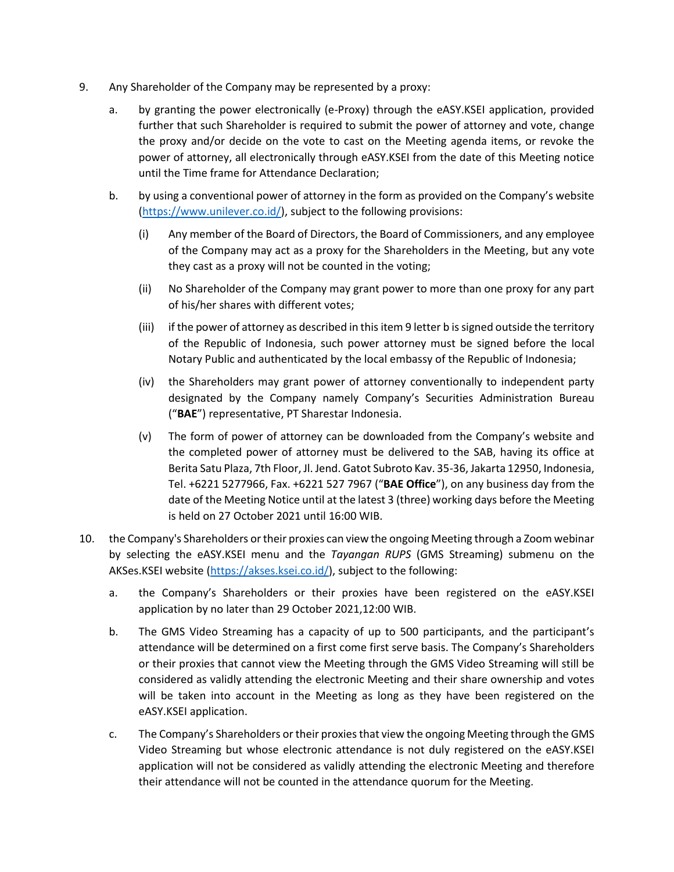- 9. Any Shareholder of the Company may be represented by a proxy:
	- a. by granting the power electronically (e-Proxy) through the eASY.KSEI application, provided further that such Shareholder is required to submit the power of attorney and vote, change the proxy and/or decide on the vote to cast on the Meeting agenda items, or revoke the power of attorney, all electronically through eASY.KSEI from the date of this Meeting notice until the Time frame for Attendance Declaration;
	- b. by using a conventional power of attorney in the form as provided on the Company's website [\(https://www.unilever.co.id/\)](https://www.unilever.co.id/), subject to the following provisions:
		- (i) Any member of the Board of Directors, the Board of Commissioners, and any employee of the Company may act as a proxy for the Shareholders in the Meeting, but any vote they cast as a proxy will not be counted in the voting;
		- (ii) No Shareholder of the Company may grant power to more than one proxy for any part of his/her shares with different votes;
		- (iii) if the power of attorney as described in this item 9 letter b is signed outside the territory of the Republic of Indonesia, such power attorney must be signed before the local Notary Public and authenticated by the local embassy of the Republic of Indonesia;
		- (iv) the Shareholders may grant power of attorney conventionally to independent party designated by the Company namely Company's Securities Administration Bureau ("**BAE**") representative, PT Sharestar Indonesia.
		- (v) The form of power of attorney can be downloaded from the Company's website and the completed power of attorney must be delivered to the SAB, having its office at Berita Satu Plaza, 7th Floor, Jl. Jend. Gatot Subroto Kav. 35-36, Jakarta 12950, Indonesia, Tel. +6221 5277966, Fax. +6221 527 7967 ("**BAE Office**"), on any business day from the date of the Meeting Notice until at the latest 3 (three) working days before the Meeting is held on 27 October 2021 until 16:00 WIB.
- 10. the Company's Shareholders or their proxies can view the ongoing Meeting through a Zoom webinar by selecting the eASY.KSEI menu and the *Tayangan RUPS* (GMS Streaming) submenu on the AKSes.KSEI website [\(https://akses.ksei.co.id/\)](https://akses.ksei.co.id/), subject to the following:
	- a. the Company's Shareholders or their proxies have been registered on the eASY.KSEI application by no later than 29 October 2021,12:00 WIB.
	- b. The GMS Video Streaming has a capacity of up to 500 participants, and the participant's attendance will be determined on a first come first serve basis. The Company's Shareholders or their proxies that cannot view the Meeting through the GMS Video Streaming will still be considered as validly attending the electronic Meeting and their share ownership and votes will be taken into account in the Meeting as long as they have been registered on the eASY.KSEI application.
	- c. The Company's Shareholders or their proxies that view the ongoing Meeting through the GMS Video Streaming but whose electronic attendance is not duly registered on the eASY.KSEI application will not be considered as validly attending the electronic Meeting and therefore their attendance will not be counted in the attendance quorum for the Meeting.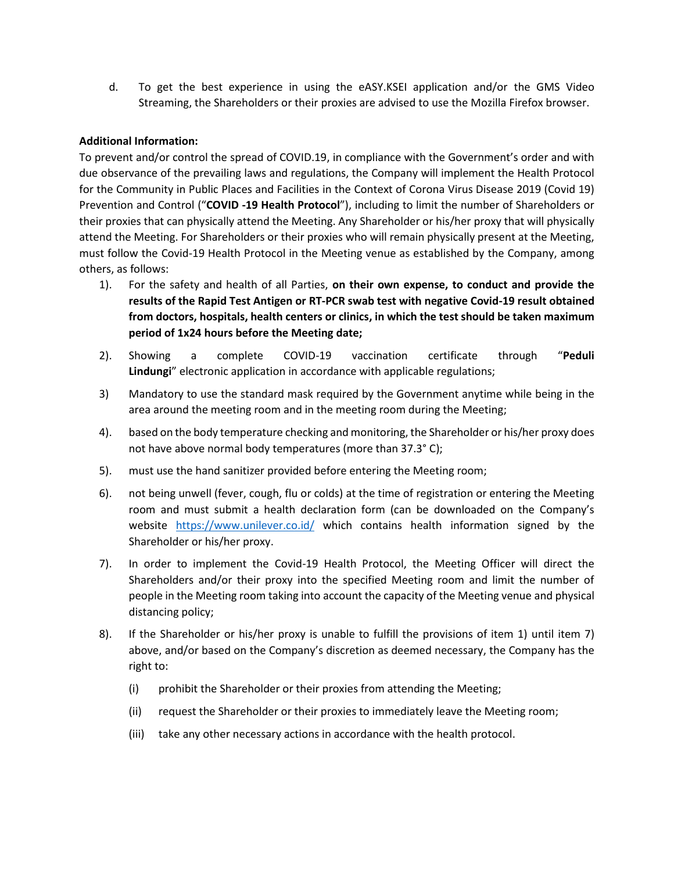d. To get the best experience in using the eASY.KSEI application and/or the GMS Video Streaming, the Shareholders or their proxies are advised to use the Mozilla Firefox browser.

### **Additional Information:**

To prevent and/or control the spread of COVID.19, in compliance with the Government's order and with due observance of the prevailing laws and regulations, the Company will implement the Health Protocol for the Community in Public Places and Facilities in the Context of Corona Virus Disease 2019 (Covid 19) Prevention and Control ("**COVID -19 Health Protocol**"), including to limit the number of Shareholders or their proxies that can physically attend the Meeting. Any Shareholder or his/her proxy that will physically attend the Meeting. For Shareholders or their proxies who will remain physically present at the Meeting, must follow the Covid-19 Health Protocol in the Meeting venue as established by the Company, among others, as follows:

- 1). For the safety and health of all Parties, **on their own expense, to conduct and provide the results of the Rapid Test Antigen or RT-PCR swab test with negative Covid-19 result obtained from doctors, hospitals, health centers or clinics, in which the test should be taken maximum period of 1x24 hours before the Meeting date;**
- 2). Showing a complete COVID-19 vaccination certificate through "**Peduli Lindungi**" electronic application in accordance with applicable regulations;
- 3) Mandatory to use the standard mask required by the Government anytime while being in the area around the meeting room and in the meeting room during the Meeting;
- 4). based on the body temperature checking and monitoring, the Shareholder or his/her proxy does not have above normal body temperatures (more than 37.3° C);
- 5). must use the hand sanitizer provided before entering the Meeting room;
- 6). not being unwell (fever, cough, flu or colds) at the time of registration or entering the Meeting room and must submit a health declaration form (can be downloaded on the Company's website <https://www.unilever.co.id/> which contains health information signed by the Shareholder or his/her proxy.
- 7). In order to implement the Covid-19 Health Protocol, the Meeting Officer will direct the Shareholders and/or their proxy into the specified Meeting room and limit the number of people in the Meeting room taking into account the capacity of the Meeting venue and physical distancing policy;
- 8). If the Shareholder or his/her proxy is unable to fulfill the provisions of item 1) until item 7) above, and/or based on the Company's discretion as deemed necessary, the Company has the right to:
	- (i) prohibit the Shareholder or their proxies from attending the Meeting;
	- (ii) request the Shareholder or their proxies to immediately leave the Meeting room;
	- (iii) take any other necessary actions in accordance with the health protocol.